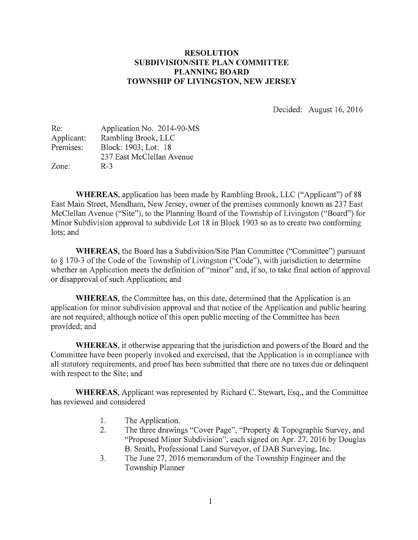## RESOLUTION SUBDIVISION/SITE PLAN COMMITTEE PLANNING BOARD TOWNSHIP OF LIVINGSTON, NEW JERSEY

Decided: August 16, 2016

| Re:        | Application No. 2014-90-MS |
|------------|----------------------------|
| Applicant: | Rambling Brook, LLC        |
| Premises:  | Block: 1903; Lot: 18       |
|            | 237 East McClellan Avenue  |
| Zone:      | $R-3$                      |

WHEREAS, application has been made by Rambling Brook, LLC ("Applicant") of 88 East Main Street, Mendham, New Jersey, owner of the premises commonly known as 237 East McClellan Avenue ("Site"), to the Planning Board of the Township of Livingston ("Board") for Minor Subdivision approval to subdivide Lot 18 in Block 1903 so as to create two conforming lots; and

WHEREAS, the Board has a Subdivision/Site Plan Committee ("Committee") pursuant to § 170-3 of the Code of the Township of Livingston ("Code"), with jurisdiction to determine whether an Application meets the definition of "minor" and, if so, to take final action of approval or disapproval of such Application; and

WHEREAS, the Committee has, on this date, determined that the Application is an application for minor subdivision approval and that notice of the Application and public hearing are not required; although notice of this open public meeting of the Committee has been provided; and

WHEREAS, it otherwise appearing that the jurisdiction and powers of the Board and the Committee have been properly invoked and exercised, that the Application is in compliance with all statutory requirements, and proof has been submitted that there are no taxes due or delinquent with respect to the Site; and

WHEREAS, Applicant was represented by Richard C. Stewart, Esq., and the Committee has reviewed and considered

- 1. The Application.
- 2. The three drawings "Cover Page", "Property & Topographic Survey, and "Proposed Minor Subdivision", each signed on Apr. 27, 2016 by Douglas B. Smith, Professional Land Surveyor, of DAB Surveying, Inc.
- 3. The June 27, 2016 memorandum of the Township Engineer and the Township Planner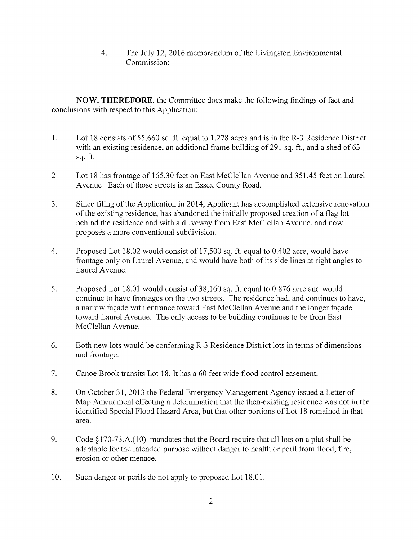4. The July 12, 2016 memorandum of the Livingston Environmental Commission;

NOW, THEREFORE, the Committee does make the following findings of fact and conclusions with respect to this Application:

- 1. Lot <sup>18</sup> consists of 55,660 sq. ft. equal to 1.278 acres and is in the R-3 Residence District with an existing residence, an additional frame building of 291 sq. ft., and <sup>a</sup> shed of 63 sq. ft.
- 2 Lot <sup>18</sup> has frontage of 165.30 feet on East McClellan Avenue and 351.45 feet on Laurel Avenue Each of those streets is an Essex County Road.
- 3. Since filing of the Application in 2014, Applicant has accomplished extensive renovation of the existing residence, has abandoned the initially proposed creation of a flag lot behind the residence and with a driveway from East McClellan Avenue, and now proposes a more conventional subdivision.
- 4. Proposed Lot 18.02 would consist of 17,500 sq. ft. equal to 0.402 acre, would have frontage only on Laurel Avenue, and would have both of its side lines at right angles to Laurel Avenue.
- 5. Proposed Lot 18.01 would consist of 38,160 sq. ft. equal to 0.876 acre and would continue to have frontages on the two streets. The residence had, and continues to have, a narrow façade with entrance toward East McClellan Avenue and the longer façade toward Laurel Avenue. The only access to be building continues to be from East McClellan Avenue.
- 6. Both new lots would be conforming R-3 Residence District lots in terms of dimensions and frontage.
- 7. Canoe Brook transits Lot 18. It has a 60 feet wide flood control easement.
- 8. On October 31, 2013 the Federal Emergency Management Agency issued <sup>a</sup> Letter of Map Amendment effecting a determination that the then-existing residence was not in the identified Special Flood Hazard Area, but that other portions of Lot <sup>18</sup> remained in that area.
- 9. Code §170-73.A.(10) mandates that the Board require that all lots on a plat shall be adaptable for the intended purpose without danger to health or peril from flood, fire, erosion or other menace.
- 10. Such danger or perils do not apply to proposed Lot 18.01.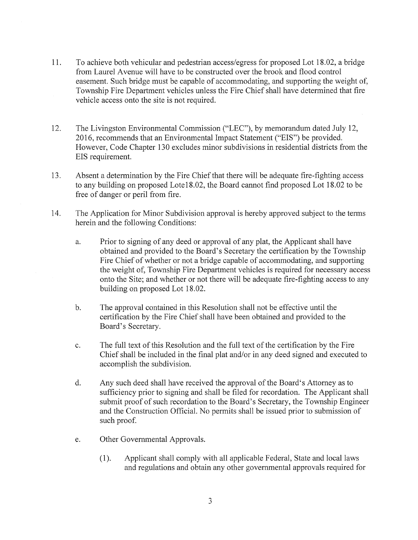- 11. To achieve both vehicular and pedestrian access/egress for proposed Lot 18.02, a bridge from Laurel Avenue will have to be constructed over the brook and flood control easement. Such bridge must be capable of accommodating, and supporting the weight of, Township Fire Department vehicles unless the Fire Chief shall have determined that fire vehicle access onto the site is not required.
- 12. The Livingston Environmental Commission ("LEC"), by memorandum dated July 12, 2016, recommends that an Environmental Impact Statement ("ElS") be provided. However, Code Chapter 130 excludes minor subdivisions in residential districts from the EIS requirement.
- 13. Absent a determination by the Fire Chief that there will be adequate fire-fighting access to any building on proposed Lotel 8.02, the Board cannot find proposed Lot 18.02 to be free of danger or peril from fire.
- 14. The Application for Minor Subdivision approval is hereby approved subject to the terms herein and the following Conditions:
	- a. Prior to signing of any deed or approval of any plat, the Applicant shall have obtained and provided to the Board's Secretary the certification by the Township Fire Chief of whether or not <sup>a</sup> bridge capable of accommodating, and supporting the weight of, Township Fire Department vehicles is required for necessary access onto the Site; and whether or not there will be adequate fire-fighting access to any building on proposed Lot 18.02.
	- b. The approval contained in this Resolution shall not be effective until the certification by the Fire Chief shall have been obtained and provided to the Board's Secretary.
	- c. The full text of this Resolution and the full text of the certification by the Fire Chief shall be included in the final plat and/or in any deed signed and executed to accomplish the subdivision.
	- d. Any such deed shall have received the approval of the Board's Attorney as to sufficiency prior to signing and shall be filed for recordation. The Applicant shall submit proof of such recordation to the Board's Secretary, the Township Engineer and the Construction Official. No permits shall be issued prior to submission of such proof.
	- e. Other Governmental Approvals.
		- (1). Applicant shall comply with all applicable Federal, State and local laws and regulations and obtain any other governmental approvals required for